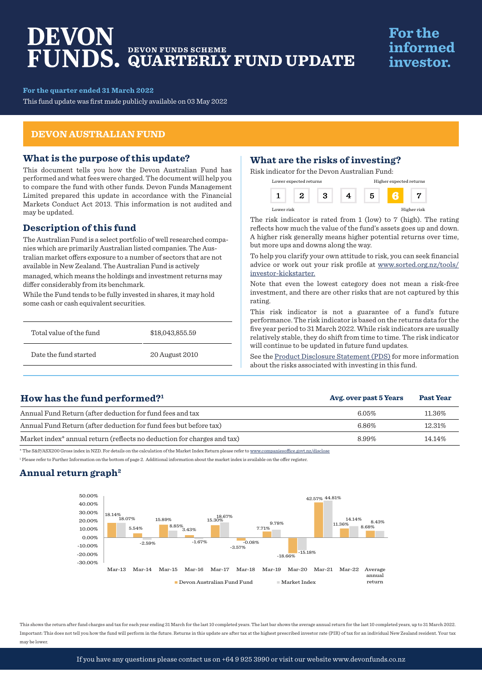# DEVON **DEVON FUNDS SCHEME QUARTERLY FUND UPDATE**

# **For the** informed investor.

**For the quarter ended 31 March 2022**

This fund update was first made publicly available on 03 May 2022

## **DEVON AUSTRALIAN FUND**

#### **What is the purpose of this update?**

This document tells you how the Devon Australian Fund has performed and what fees were charged. The document will help you to compare the fund with other funds. Devon Funds Management Limited prepared this update in accordance with the Financial Markets Conduct Act 2013. This information is not audited and may be updated.

# **Description of this fund**

The Australian Fund is a select portfolio of well researched companies which are primarily Australian listed companies. The Australian market offers exposure to a number of sectors that are not available in New Zealand. The Australian Fund is actively managed, which means the holdings and investment returns may differ considerably from its benchmark.

While the Fund tends to be fully invested in shares, it may hold some cash or cash equivalent securities.

| Total value of the fund | \$18,043,855.59 |
|-------------------------|-----------------|
| Date the fund started   | 20 August 2010  |

# **What are the risks of investing?**

Risk indicator for the Devon Australian Fund:

|            | Lower expected returns |  | Higher expected returns |             |
|------------|------------------------|--|-------------------------|-------------|
|            |                        |  |                         |             |
| Lower risk |                        |  |                         | Higher risk |

The risk indicator is rated from 1 (low) to 7 (high). The rating reflects how much the value of the fund's assets goes up and down. A higher risk generally means higher potential returns over time, but more ups and downs along the way.

To help you clarify your own attitude to risk, you can seek financial advice or work out your risk profile at www.sorted.org.nz/tools/ investor-kickstarter.

Note that even the lowest category does not mean a risk-free investment, and there are other risks that are not captured by this rating.

This risk indicator is not a guarantee of a fund's future performance. The risk indicator is based on the returns data for the five year period to 31 March 2022. While risk indicators are usually relatively stable, they do shift from time to time. The risk indicator will continue to be updated in future fund updates.

See the [Product Disclosure Statement \(PDS\)](https://devonfunds.co.nz/sites/default/files/Devon%20Investment%20Funds%20Product%20Disclosure%20Statement.pdf) for more information about the risks associated with investing in this fund.

**Avg. over past 5 Years Past Year**

# **How has the fund performed?1**

| Annual Fund Return (after deduction for fund fees and tax                           | $6.05\%$ | 11.36% |
|-------------------------------------------------------------------------------------|----------|--------|
| Annual Fund Return (after deduction for fund fees but before tax)                   | 6.86%    | 12.31% |
| Market index <sup>*</sup> annual return (reflects no deduction for charges and tax) | 8.99%    | 14.14% |

\* The S&P/ASX200 Gross index in NZD. For details on the calculation of the Market Index Return please refer to www.companiesoffice.govt.nz/disclose

1 Please refer to Further Information on the bottom of page 2. Additional information about the market index is available on the offer register.

## **Annual return graph2**



This shows the return after fund charges and tax for each year ending 31 March for the last 10 completed years. The last bar shows the average annual return for the last 10 completed years, up to 31 March 2022. Important: This does not tell you how the fund will perform in the future. Returns in this update are after tax at the highest prescribed investor rate (PIR) of tax for an individual New Zealand resident. Your tax may be lower.